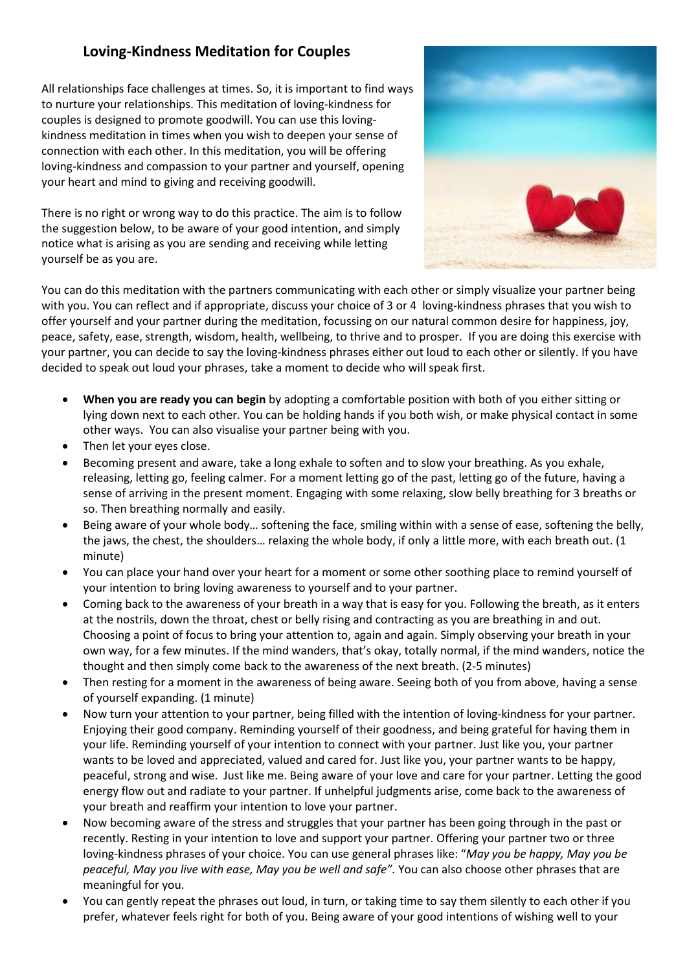## **Loving-Kindness Meditation for Couples**

All relationships face challenges at times. So, it is important to find ways to nurture your relationships. This meditation of loving-kindness for couples is designed to promote goodwill. You can use this lovingkindness meditation in times when you wish to deepen your sense of connection with each other. In this meditation, you will be offering loving-kindness and compassion to your partner and yourself, opening your heart and mind to giving and receiving goodwill.

There is no right or wrong way to do this practice. The aim is to follow the suggestion below, to be aware of your good intention, and simply notice what is arising as you are sending and receiving while letting yourself be as you are.



You can do this meditation with the partners communicating with each other or simply visualize your partner being with you. You can reflect and if appropriate, discuss your choice of 3 or 4 loving-kindness phrases that you wish to offer yourself and your partner during the meditation, focussing on our natural common desire for happiness, joy, peace, safety, ease, strength, wisdom, health, wellbeing, to thrive and to prosper. If you are doing this exercise with your partner, you can decide to say the loving-kindness phrases either out loud to each other or silently. If you have decided to speak out loud your phrases, take a moment to decide who will speak first.

- **When you are ready you can begin** by adopting a comfortable position with both of you either sitting or lying down next to each other. You can be holding hands if you both wish, or make physical contact in some other ways. You can also visualise your partner being with you.
- Then let your eyes close.
- Becoming present and aware, take a long exhale to soften and to slow your breathing. As you exhale, releasing, letting go, feeling calmer. For a moment letting go of the past, letting go of the future, having a sense of arriving in the present moment. Engaging with some relaxing, slow belly breathing for 3 breaths or so. Then breathing normally and easily.
- Being aware of your whole body… softening the face, smiling within with a sense of ease, softening the belly, the jaws, the chest, the shoulders… relaxing the whole body, if only a little more, with each breath out. (1 minute)
- You can place your hand over your heart for a moment or some other soothing place to remind yourself of your intention to bring loving awareness to yourself and to your partner.
- Coming back to the awareness of your breath in a way that is easy for you. Following the breath, as it enters at the nostrils, down the throat, chest or belly rising and contracting as you are breathing in and out. Choosing a point of focus to bring your attention to, again and again. Simply observing your breath in your own way, for a few minutes. If the mind wanders, that's okay, totally normal, if the mind wanders, notice the thought and then simply come back to the awareness of the next breath. (2-5 minutes)
- Then resting for a moment in the awareness of being aware. Seeing both of you from above, having a sense of yourself expanding. (1 minute)
- Now turn your attention to your partner, being filled with the intention of loving-kindness for your partner. Enjoying their good company. Reminding yourself of their goodness, and being grateful for having them in your life. Reminding yourself of your intention to connect with your partner. Just like you, your partner wants to be loved and appreciated, valued and cared for. Just like you, your partner wants to be happy, peaceful, strong and wise. Just like me. Being aware of your love and care for your partner. Letting the good energy flow out and radiate to your partner. If unhelpful judgments arise, come back to the awareness of your breath and reaffirm your intention to love your partner.
- Now becoming aware of the stress and struggles that your partner has been going through in the past or recently. Resting in your intention to love and support your partner. Offering your partner two or three loving-kindness phrases of your choice. You can use general phrases like: "*May you be happy, May you be peaceful, May you live with ease, May you be well and safe".* You can also choose other phrases that are meaningful for you.
- You can gently repeat the phrases out loud, in turn, or taking time to say them silently to each other if you prefer, whatever feels right for both of you. Being aware of your good intentions of wishing well to your